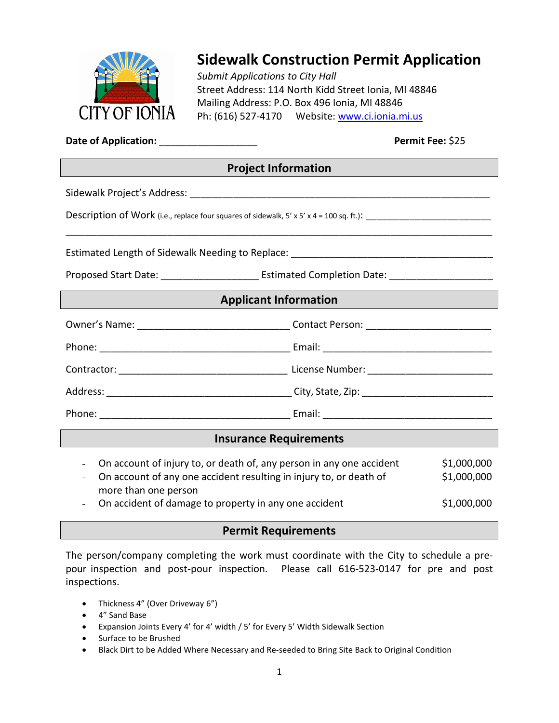

# **Sidewalk Construction Permit Application**

*Submit Applications to City Hall* Street Address: 114 North Kidd Street Ionia, MI 48846 Mailing Address: P.O. Box 496 Ionia, MI 48846 Ph: (616) 527-4170 Website: [www.ci.ionia.mi.us](http://www.ci.ionia.mi.us/)

**Date of Application:** \_\_\_\_\_\_\_\_\_\_\_\_\_\_\_\_\_\_ **Permit Fee:** \$25

## **Project Information**

\_\_\_\_\_\_\_\_\_\_\_\_\_\_\_\_\_\_\_\_\_\_\_\_\_\_\_\_\_\_\_\_\_\_\_\_\_\_\_\_\_\_\_\_\_\_\_\_\_\_\_\_\_\_\_\_\_\_\_\_\_\_\_\_\_\_\_

Sidewalk Project's Address: \_\_\_\_\_\_\_\_\_\_\_\_\_\_\_\_\_\_\_\_\_\_\_\_\_\_\_\_\_\_\_\_\_\_\_\_\_\_\_\_\_\_\_\_\_\_\_\_\_\_\_\_\_\_\_

Description of Work (i.e., replace four squares of sidewalk,  $5' \times 5' \times 4 = 100$  sq. ft.):

Estimated Length of Sidewalk Needing to Replace: \_\_\_\_\_\_\_\_\_\_\_\_\_\_\_\_\_\_\_\_\_\_\_\_\_\_\_\_\_\_\_

Proposed Start Date: \_\_\_\_\_\_\_\_\_\_\_\_\_\_\_\_\_\_\_\_\_\_\_\_\_\_\_ Estimated Completion Date: \_\_\_\_\_\_\_\_\_\_\_\_\_\_\_\_\_\_\_\_\_\_\_

### **Applicant Information**

|                                                           | License Number: ______________________________                           |
|-----------------------------------------------------------|--------------------------------------------------------------------------|
|                                                           |                                                                          |
| Phone:<br><u> 1989 - Andrea Barbara, poeta esperanto-</u> | Email:<br><u> 1980 - Jan Barbara, martin da kasar Amerika Indonesia.</u> |

#### **Insurance Requirements**

| - On account of injury to, or death of, any person in any one accident | \$1,000,000 |
|------------------------------------------------------------------------|-------------|
| - On account of any one accident resulting in injury to, or death of   | \$1,000,000 |
| more than one person                                                   |             |
| On a calculated alguna carteristic contributions and a calculated      | 64.000.000  |

- On accident of damage to property in any one accident  $$1,000,000$ 

## **Permit Requirements**

The person/company completing the work must coordinate with the City to schedule a prepour inspection and post-pour inspection. Please call 616-523-0147 for pre and post inspections.

- Thickness 4" (Over Driveway 6")
- 4" Sand Base
- Expansion Joints Every 4' for 4' width / 5' for Every 5' Width Sidewalk Section
- Surface to be Brushed
- Black Dirt to be Added Where Necessary and Re-seeded to Bring Site Back to Original Condition